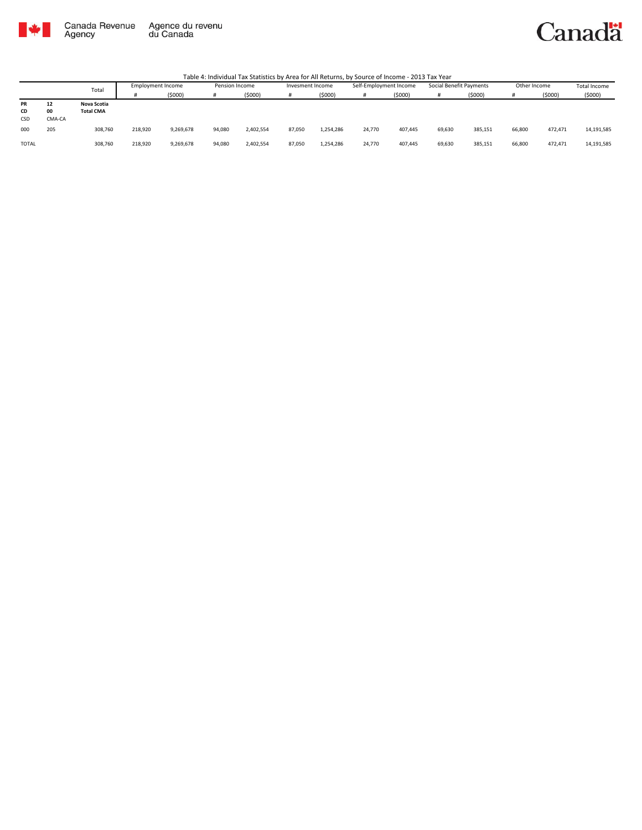

Canadä

|              |        | Total            | <b>Employment Income</b> |           | Pension Income |           | Invesment Income |           | Self-Employment Income |         | Social Benefit Payments |         | Other Income |         | <b>Total Income</b> |
|--------------|--------|------------------|--------------------------|-----------|----------------|-----------|------------------|-----------|------------------------|---------|-------------------------|---------|--------------|---------|---------------------|
|              |        |                  |                          | (5000)    |                | (5000)    |                  | (5000)    |                        | (5000)  |                         | (5000)  | #            | (5000)  | (5000)              |
| PR           | 12     | Nova Scotia      |                          |           |                |           |                  |           |                        |         |                         |         |              |         |                     |
| CD           | 00     | <b>Total CMA</b> |                          |           |                |           |                  |           |                        |         |                         |         |              |         |                     |
| CSD          | CMA-CA |                  |                          |           |                |           |                  |           |                        |         |                         |         |              |         |                     |
| 000          | 205    | 308,760          | 218,920                  | 9,269,678 | 94,080         | 2,402,554 | 87,050           | 1,254,286 | 24,770                 | 407,445 | 69,630                  | 385,151 | 66,800       | 472,471 | 14,191,585          |
| <b>TOTAL</b> |        | 308,760          | 218,920                  | 9,269,678 | 94,080         | 2,402,554 | 87,050           | 1,254,286 | 24,770                 | 407,445 | 69,630                  | 385,151 | 66,800       | 472,471 | 14,191,585          |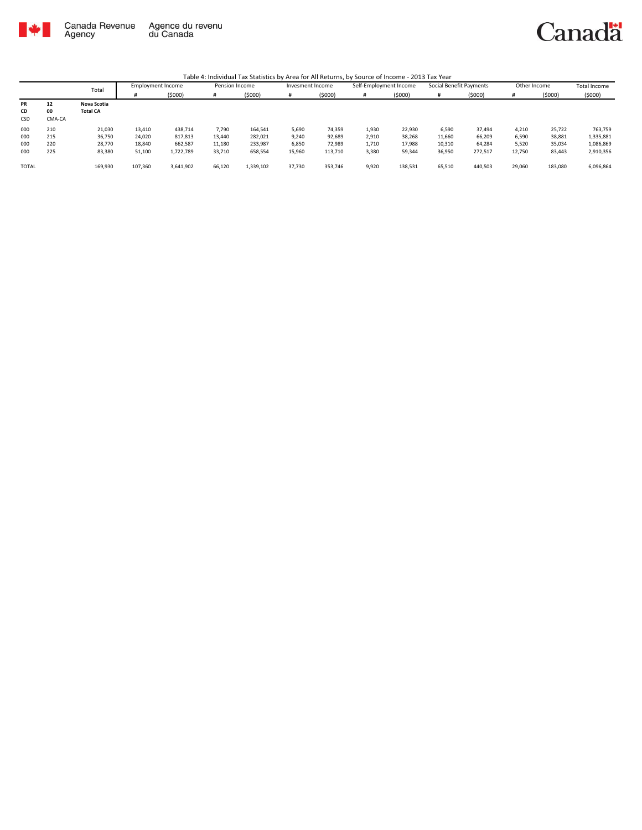

|              |        | Total           | <b>Employment Income</b> |           | Pension Income |           | Invesment Income |         | Self-Employment Income |         | Social Benefit Payments |         | Other Income |         | <b>Total Income</b> |
|--------------|--------|-----------------|--------------------------|-----------|----------------|-----------|------------------|---------|------------------------|---------|-------------------------|---------|--------------|---------|---------------------|
|              |        |                 |                          | (5000)    | #              | (\$000)   |                  | (5000)  | #                      | (5000)  |                         | (5000)  |              | (5000)  | (5000)              |
| PR           | 12     | Nova Scotia     |                          |           |                |           |                  |         |                        |         |                         |         |              |         |                     |
| CD           | 00     | <b>Total CA</b> |                          |           |                |           |                  |         |                        |         |                         |         |              |         |                     |
| CSD          | CMA-CA |                 |                          |           |                |           |                  |         |                        |         |                         |         |              |         |                     |
| 000          | 210    | 21,030          | 13,410                   | 438.714   | 7,790          | 164,541   | 5.690            | 74.359  | 1,930                  | 22.930  | 6,590                   | 37,494  | 4.210        | 25,722  | 763,759             |
| 000          | 215    | 36,750          | 24.020                   | 817,813   | 13.440         | 282,021   | 9,240            | 92,689  | 2,910                  | 38.268  | 11,660                  | 66,209  | 6,590        | 38,881  | 1,335,881           |
| 000          | 220    | 28.770          | 18,840                   | 662.587   | 11,180         | 233.987   | 6.850            | 72.989  | 1,710                  | 17.988  | 10,310                  | 64.284  | 5.520        | 35,034  | 1,086,869           |
| 000          | 225    | 83,380          | 51,100                   | 1,722,789 | 33,710         | 658,554   | 15,960           | 113,710 | 3,380                  | 59,344  | 36,950                  | 272,517 | 12,750       | 83,443  | 2,910,356           |
|              |        |                 |                          |           |                |           |                  |         |                        |         |                         |         |              |         |                     |
| <b>TOTAL</b> |        | 169,930         | 107,360                  | 3.641.902 | 66,120         | 1,339,102 | 37,730           | 353,746 | 9,920                  | 138,531 | 65,510                  | 440,503 | 29.060       | 183,080 | 6,096,864           |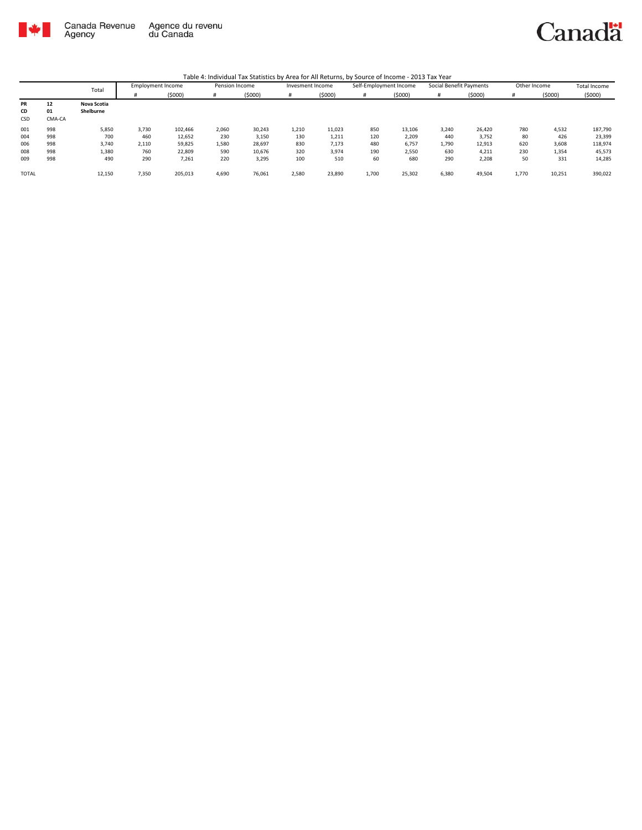

|              |        | Total       | <b>Employment Income</b> |         | Pension Income |        | Invesment Income |        | Self-Employment Income |        | Social Benefit Payments |        | Other Income |        | Total Income |
|--------------|--------|-------------|--------------------------|---------|----------------|--------|------------------|--------|------------------------|--------|-------------------------|--------|--------------|--------|--------------|
|              |        |             |                          | (5000)  | -#             | (5000) |                  | (5000) | #                      | (5000) |                         | (5000) |              | (5000) | (5000)       |
| PR           | 12     | Nova Scotia |                          |         |                |        |                  |        |                        |        |                         |        |              |        |              |
| CD           | 01     | Shelburne   |                          |         |                |        |                  |        |                        |        |                         |        |              |        |              |
| CSD          | CMA-CA |             |                          |         |                |        |                  |        |                        |        |                         |        |              |        |              |
| 001          | 998    | 5,850       | 3,730                    | 102.466 | 2,060          | 30,243 | 1,210            | 11,023 | 850                    | 13,106 | 3,240                   | 26,420 | 780          | 4,532  | 187,790      |
| 004          | 998    | 700         | 460                      | 12,652  | 230            | 3,150  | 130              | 1,211  | 120                    | 2,209  | 440                     | 3,752  | 80           | 426    | 23,399       |
| 006          | 998    | 3,740       | 2,110                    | 59,825  | 1,580          | 28,697 | 830              | 7,173  | 480                    | 6,757  | 1,790                   | 12,913 | 620          | 3,608  | 118,974      |
| 008          | 998    | 1,380       | 760                      | 22,809  | 590            | 10,676 | 320              | 3,974  | 190                    | 2,550  | 630                     | 4,211  | 230          | 1,354  | 45,573       |
| 009          | 998    | 490         | 290                      | 7,261   | 220            | 3,295  | 100              | 510    | 60                     | 680    | 290                     | 2,208  | 50           | 331    | 14,285       |
|              |        |             |                          |         |                |        |                  |        |                        |        |                         |        |              |        |              |
| <b>TOTAL</b> |        | 12,150      | 7,350                    | 205,013 | 4,690          | 76,061 | 2,580            | 23,890 | 1,700                  | 25,302 | 6,380                   | 49,504 | 1,770        | 10,251 | 390,022      |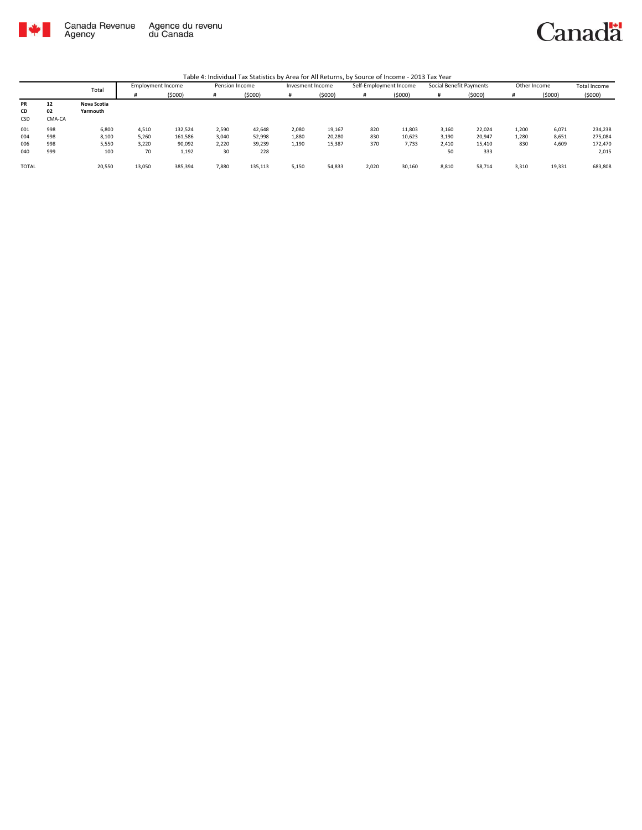

# Canadä

|              |        | Total       | <b>Employment Income</b> |         | Pension Income |         | Invesment Income |        | Self-Employment Income |        | Social Benefit Payments |        | Other Income |        | Total Income |
|--------------|--------|-------------|--------------------------|---------|----------------|---------|------------------|--------|------------------------|--------|-------------------------|--------|--------------|--------|--------------|
|              |        |             |                          | (\$000) | #              | (5000)  |                  | (5000) | #                      | (5000) |                         | (5000) |              | (5000) | (5000)       |
| PR           | 12     | Nova Scotia |                          |         |                |         |                  |        |                        |        |                         |        |              |        |              |
| CD           | 02     | Yarmouth    |                          |         |                |         |                  |        |                        |        |                         |        |              |        |              |
| CSD          | CMA-CA |             |                          |         |                |         |                  |        |                        |        |                         |        |              |        |              |
| 001          | 998    | 6,800       | 4,510                    | 132,524 | 2,590          | 42,648  | 2,080            | 19,167 | 820                    | 11,803 | 3,160                   | 22,024 | 1,200        | 6,071  | 234,238      |
| 004          | 998    | 8,100       | 5,260                    | 161,586 | 3.040          | 52,998  | 1,880            | 20,280 | 830                    | 10,623 | 3,190                   | 20,947 | 1,280        | 8,651  | 275,084      |
| 006          | 998    | 5,550       | 3,220                    | 90,092  | 2,220          | 39,239  | 1,190            | 15,387 | 370                    | 7,733  | 2,410                   | 15,410 | 830          | 4,609  | 172,470      |
| 040          | 999    | 100         | 70                       | 1,192   | 30             | 228     |                  |        |                        |        | 50                      | 333    |              |        | 2,015        |
|              |        |             |                          |         |                |         |                  |        |                        |        |                         |        |              |        |              |
| <b>TOTAL</b> |        | 20,550      | 13,050                   | 385,394 | 7,880          | 135,113 | 5,150            | 54,833 | 2,020                  | 30,160 | 8,810                   | 58,714 | 3,310        | 19,331 | 683,808      |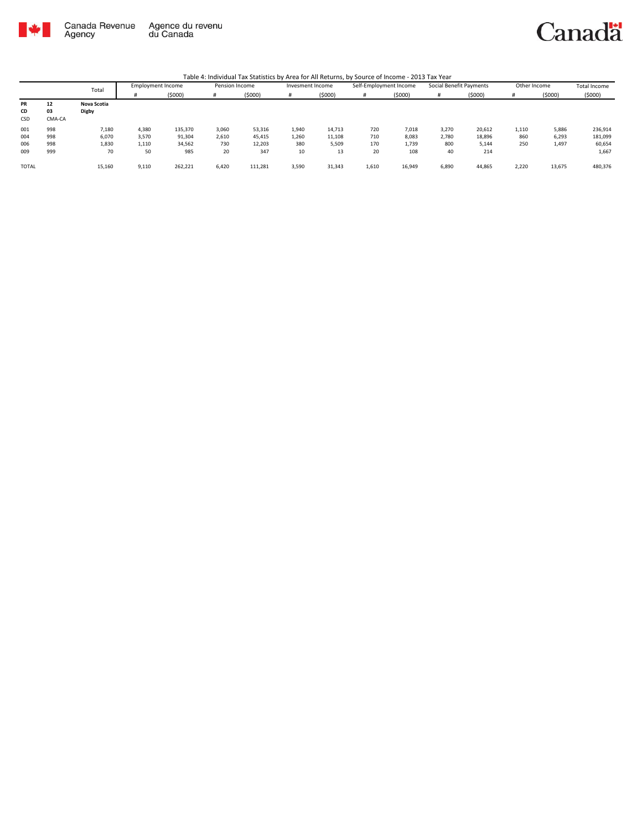

## Canadä

|              |        | Total       | <b>Employment Income</b> |         | Pension Income |         | Invesment Income |        | Self-Employment Income |        | Social Benefit Payments |        | Other Income |        | <b>Total Income</b> |
|--------------|--------|-------------|--------------------------|---------|----------------|---------|------------------|--------|------------------------|--------|-------------------------|--------|--------------|--------|---------------------|
|              |        |             |                          | (5000)  |                | (5000)  |                  | (5000) | #                      | (5000) |                         | (5000) |              | (5000) | (5000)              |
| PR           | 12     | Nova Scotia |                          |         |                |         |                  |        |                        |        |                         |        |              |        |                     |
| CD           | 03     | Digby       |                          |         |                |         |                  |        |                        |        |                         |        |              |        |                     |
| CSD          | CMA-CA |             |                          |         |                |         |                  |        |                        |        |                         |        |              |        |                     |
| 001          | 998    | 7,180       | 4,380                    | 135,370 | 3,060          | 53,316  | 1,940            | 14,713 | 720                    | 7,018  | 3,270                   | 20,612 | 1,110        | 5,886  | 236,914             |
| 004          | 998    | 6,070       | 3,570                    | 91,304  | 2,610          | 45,415  | 1,260            | 11,108 | 710                    | 8,083  | 2,780                   | 18,896 | 860          | 6,293  | 181,099             |
| 006          | 998    | 1,830       | 1,110                    | 34,562  | 730            | 12,203  | 380              | 5,509  | 170                    | 1,739  | 800                     | 5,144  | 250          | 1,497  | 60,654              |
| 009          | 999    | 70          | 50                       | 985     | 20             | 347     | 10               | 13     | 20                     | 108    | 40                      | 214    |              |        | 1,667               |
| <b>TOTAL</b> |        | 15,160      | 9,110                    | 262,221 | 6,420          | 111,281 | 3,590            | 31,343 | 1,610                  | 16,949 | 6,890                   | 44,865 | 2,220        | 13,675 | 480,376             |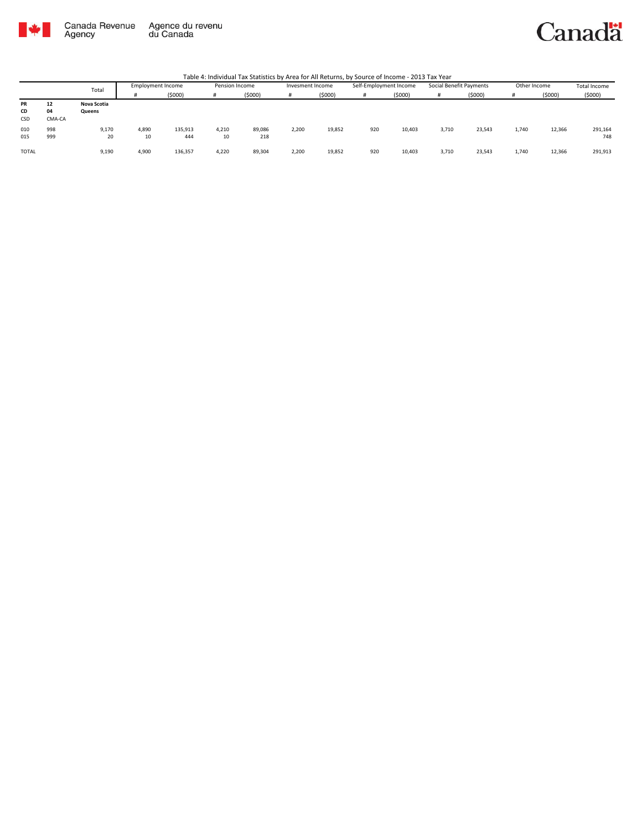

#### Canadä

|              |        | Total       | Employment Income |         | Pension Income |        | Invesment Income |        | Self-Employment Income |        | Social Benefit Payments |        | Other Income |        | Total Income |
|--------------|--------|-------------|-------------------|---------|----------------|--------|------------------|--------|------------------------|--------|-------------------------|--------|--------------|--------|--------------|
|              |        |             |                   | (5000)  | #              | (5000) |                  | (5000) |                        | (5000) | #                       | (5000) |              | (5000) | (5000)       |
| PR           | 12     | Nova Scotia |                   |         |                |        |                  |        |                        |        |                         |        |              |        |              |
| CD           | 04     | Queens      |                   |         |                |        |                  |        |                        |        |                         |        |              |        |              |
| CSD          | CMA-CA |             |                   |         |                |        |                  |        |                        |        |                         |        |              |        |              |
| 010          | 998    | 9,170       | 4,890             | 135,913 | 4,210          | 89,086 | 2.200            | 19,852 | 920                    | 10,403 | 3,710                   | 23,543 | 1.740        | 12,366 | 291,164      |
| 015          | 999    | 20          | 10                | 444     | 10             | 218    |                  |        |                        |        |                         |        |              |        | 748          |
| <b>TOTAL</b> |        | 9,190       | 4,900             | 136,357 | 4,220          | 89,304 | 2.200            | 19,852 | 920                    | 10,403 | 3,710                   | 23,543 | 1.740        | 12,366 | 291,913      |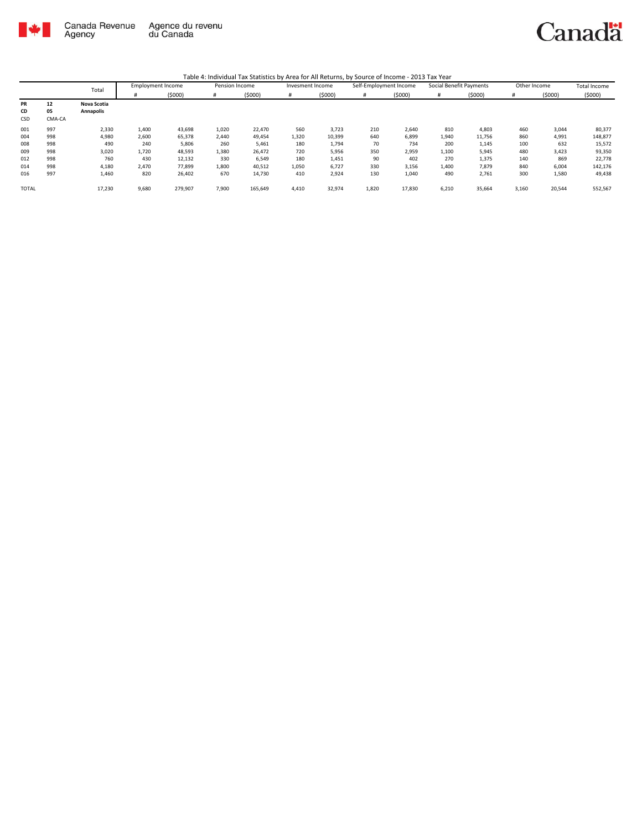

|              |        | Total       | <b>Employment Income</b> |         | Pension Income |         | Invesment Income |        | Self-Employment Income |        | Social Benefit Payments |        | Other Income |        | <b>Total Income</b> |
|--------------|--------|-------------|--------------------------|---------|----------------|---------|------------------|--------|------------------------|--------|-------------------------|--------|--------------|--------|---------------------|
|              |        |             | #                        | (5000)  | #              | (5000)  | #                | (5000) | #                      | (5000) | #                       | (5000) | #            | (5000) | (5000)              |
| <b>PR</b>    | 12     | Nova Scotia |                          |         |                |         |                  |        |                        |        |                         |        |              |        |                     |
| CD           | 05     | Annapolis   |                          |         |                |         |                  |        |                        |        |                         |        |              |        |                     |
| CSD          | CMA-CA |             |                          |         |                |         |                  |        |                        |        |                         |        |              |        |                     |
| 001          | 997    | 2,330       | 1,400                    | 43,698  | 1,020          | 22,470  | 560              | 3,723  | 210                    | 2,640  | 810                     | 4,803  | 460          | 3,044  | 80,377              |
| 004          | 998    | 4,980       | 2,600                    | 65,378  | 2,440          | 49,454  | 1,320            | 10,399 | 640                    | 6,899  | 1,940                   | 11,756 | 860          | 4,991  | 148,877             |
| 008          | 998    | 490         | 240                      | 5,806   | 260            | 5,461   | 180              | 1,794  | 70                     | 734    | 200                     | 1,145  | 100          | 632    | 15,572              |
| 009          | 998    | 3,020       | 1,720                    | 48,593  | 1,380          | 26,472  | 720              | 5,956  | 350                    | 2,959  | 1,100                   | 5,945  | 480          | 3,423  | 93,350              |
| 012          | 998    | 760         | 430                      | 12,132  | 330            | 6,549   | 180              | 1,451  | 90                     | 402    | 270                     | 1,375  | 140          | 869    | 22,778              |
| 014          | 998    | 4,180       | 2,470                    | 77,899  | 1,800          | 40,512  | 1,050            | 6,727  | 330                    | 3,156  | 1,400                   | 7,879  | 840          | 6,004  | 142,176             |
| 016          | 997    | 1,460       | 820                      | 26,402  | 670            | 14,730  | 410              | 2,924  | 130                    | 1,040  | 490                     | 2,761  | 300          | 1,580  | 49,438              |
| <b>TOTAL</b> |        | 17,230      | 9,680                    | 279,907 | 7,900          | 165,649 | 4,410            | 32,974 | 1,820                  | 17,830 | 6,210                   | 35,664 | 3,160        | 20,544 | 552,567             |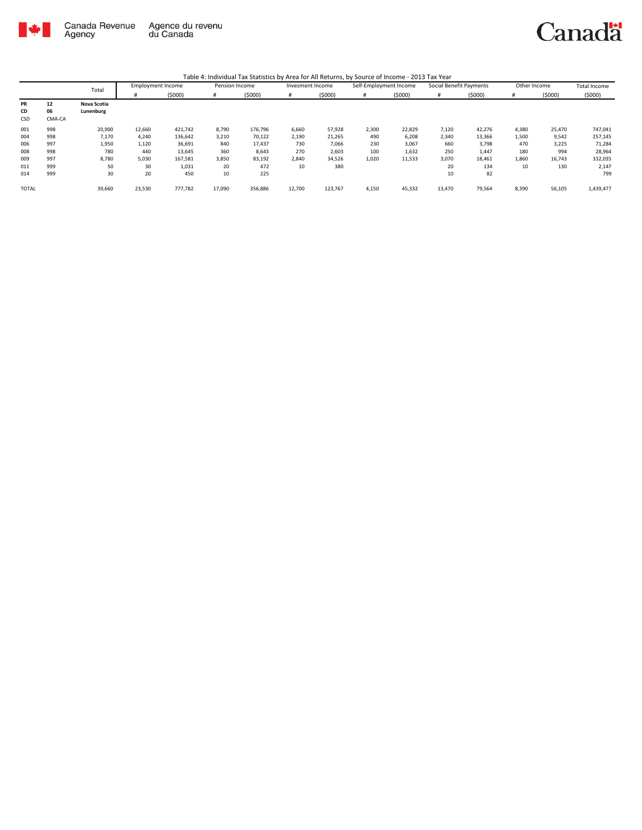

|              |        | Total       | <b>Employment Income</b> |         | Pension Income |         | Invesment Income |         | Self-Employment Income |        | Social Benefit Payments |        | Other Income |        | <b>Total Income</b> |
|--------------|--------|-------------|--------------------------|---------|----------------|---------|------------------|---------|------------------------|--------|-------------------------|--------|--------------|--------|---------------------|
|              |        |             |                          | (5000)  | #              | (5000)  |                  | (5000)  | #                      | (5000) |                         | (5000) | #            | (5000) | (5000)              |
| PR           | 12     | Nova Scotia |                          |         |                |         |                  |         |                        |        |                         |        |              |        |                     |
| CD           | 06     | Lunenburg   |                          |         |                |         |                  |         |                        |        |                         |        |              |        |                     |
| CSD          | CMA-CA |             |                          |         |                |         |                  |         |                        |        |                         |        |              |        |                     |
| 001          | 998    | 20,900      | 12,660                   | 421,742 | 8,790          | 176,796 | 6,660            | 57,928  | 2,300                  | 22,829 | 7,120                   | 42,276 | 4,380        | 25,470 | 747,041             |
| 004          | 998    | 7,170       | 4,240                    | 136,642 | 3,210          | 70,122  | 2,190            | 21,265  | 490                    | 6,208  | 2,340                   | 13,366 | 1,500        | 9,542  | 257,145             |
| 006          | 997    | 1,950       | 1,120                    | 36,691  | 840            | 17,437  | 730              | 7,066   | 230                    | 3,067  | 660                     | 3,798  | 470          | 3,225  | 71,284              |
| 008          | 998    | 780         | 440                      | 13,645  | 360            | 8,643   | 270              | 2,603   | 100                    | 1,632  | 250                     | 1,447  | 180          | 994    | 28,964              |
| 009          | 997    | 8,780       | 5,030                    | 167,581 | 3,850          | 83,192  | 2,840            | 34,526  | 1,020                  | 11,533 | 3,070                   | 18,461 | 1,860        | 16,743 | 332,035             |
| 011          | 999    | 50          | 30                       | 1,031   | 20             | 472     | 10               | 380     |                        |        | 20                      | 134    | 10           | 130    | 2,147               |
| 014          | 999    | 30          | 20                       | 450     | 10             | 225     |                  |         |                        |        | 10                      | 82     |              |        | 799                 |
| <b>TOTAL</b> |        | 39,660      | 23,530                   | 777,782 | 17,090         | 356,886 | 12,700           | 123,767 | 4,150                  | 45,332 | 13,470                  | 79,564 | 8,390        | 56,105 | 1,439,477           |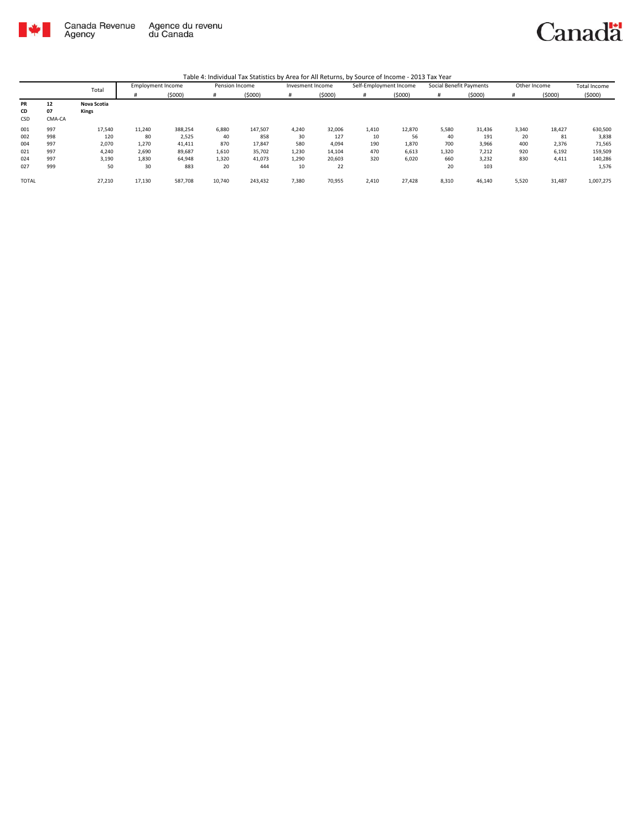

|              |        | Total       | <b>Employment Income</b> |         | Pension Income |         | Invesment Income |        | Self-Employment Income |        | Social Benefit Payments |        | Other Income |        | <b>Total Income</b> |
|--------------|--------|-------------|--------------------------|---------|----------------|---------|------------------|--------|------------------------|--------|-------------------------|--------|--------------|--------|---------------------|
|              |        |             |                          | (5000)  | #              | (5000)  | #                | (5000) | #                      | (5000) | #                       | (5000) | #            | (5000) | (5000)              |
| <b>PR</b>    | 12     | Nova Scotia |                          |         |                |         |                  |        |                        |        |                         |        |              |        |                     |
| CD           | 07     | Kings       |                          |         |                |         |                  |        |                        |        |                         |        |              |        |                     |
| CSD          | CMA-CA |             |                          |         |                |         |                  |        |                        |        |                         |        |              |        |                     |
| 001          | 997    | 17,540      | 11,240                   | 388,254 | 6,880          | 147,507 | 4,240            | 32,006 | 1,410                  | 12,870 | 5,580                   | 31,436 | 3,340        | 18,427 | 630,500             |
| 002          | 998    | 120         | 80                       | 2,525   | 40             | 858     | 30               | 127    | 10                     | 56     | 40                      | 191    | 20           | 81     | 3,838               |
| 004          | 997    | 2,070       | 1,270                    | 41,411  | 870            | 17,847  | 580              | 4,094  | 190                    | 1,870  | 700                     | 3,966  | 400          | 2,376  | 71,565              |
| 021          | 997    | 4,240       | 2,690                    | 89,687  | 1,610          | 35,702  | 1,230            | 14,104 | 470                    | 6,613  | 1,320                   | 7,212  | 920          | 6,192  | 159,509             |
| 024          | 997    | 3,190       | 1,830                    | 64,948  | 1,320          | 41,073  | 1,290            | 20,603 | 320                    | 6,020  | 660                     | 3,232  | 830          | 4,411  | 140,286             |
| 027          | 999    | 50          | 30                       | 883     | 20             | 444     | 10               | 22     |                        |        | 20                      | 103    |              |        | 1,576               |
| <b>TOTAL</b> |        | 27,210      | 17,130                   | 587,708 | 10,740         | 243,432 | 7,380            | 70,955 | 2,410                  | 27,428 | 8,310                   | 46,140 | 5,520        | 31,487 | 1,007,275           |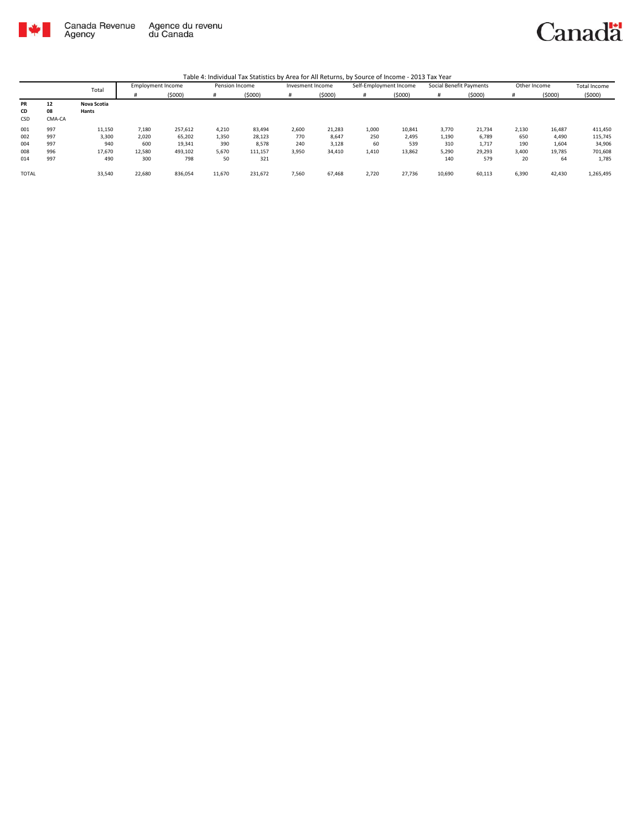

|              |        | Total       | <b>Employment Income</b> |         | Pension Income |         | Invesment Income |        | Self-Employment Income |        | Social Benefit Payments |        | Other Income |        | Total Income |
|--------------|--------|-------------|--------------------------|---------|----------------|---------|------------------|--------|------------------------|--------|-------------------------|--------|--------------|--------|--------------|
|              |        |             |                          | (5000)  | #              | (5000)  |                  | (5000) | #                      | (5000) |                         | (5000) | #            | (5000) | (5000)       |
| PR           | 12     | Nova Scotia |                          |         |                |         |                  |        |                        |        |                         |        |              |        |              |
| CD           | 08     | Hants       |                          |         |                |         |                  |        |                        |        |                         |        |              |        |              |
| CSD          | CMA-CA |             |                          |         |                |         |                  |        |                        |        |                         |        |              |        |              |
| 001          | 997    | 11,150      | 7,180                    | 257,612 | 4,210          | 83,494  | 2,600            | 21,283 | 1,000                  | 10,841 | 3,770                   | 21,734 | 2,130        | 16,487 | 411,450      |
| 002          | 997    | 3,300       | 2,020                    | 65,202  | 1,350          | 28,123  | 770              | 8,647  | 250                    | 2,495  | 1,190                   | 6,789  | 650          | 4,490  | 115,745      |
| 004          | 997    | 940         | 600                      | 19,341  | 390            | 8,578   | 240              | 3,128  | 60                     | 539    | 310                     | 1,717  | 190          | 1,604  | 34,906       |
| 008          | 996    | 17,670      | 12,580                   | 493,102 | 5,670          | 111,157 | 3,950            | 34,410 | 1,410                  | 13,862 | 5,290                   | 29,293 | 3,400        | 19,785 | 701,608      |
| 014          | 997    | 490         | 300                      | 798     | 50             | 321     |                  |        |                        |        | 140                     | 579    | 20           | 64     | 1,785        |
| <b>TOTAL</b> |        | 33,540      | 22,680                   | 836,054 | 11,670         | 231,672 | 7,560            | 67,468 | 2,720                  | 27,736 | 10,690                  | 60,113 | 6,390        | 42,430 | 1,265,495    |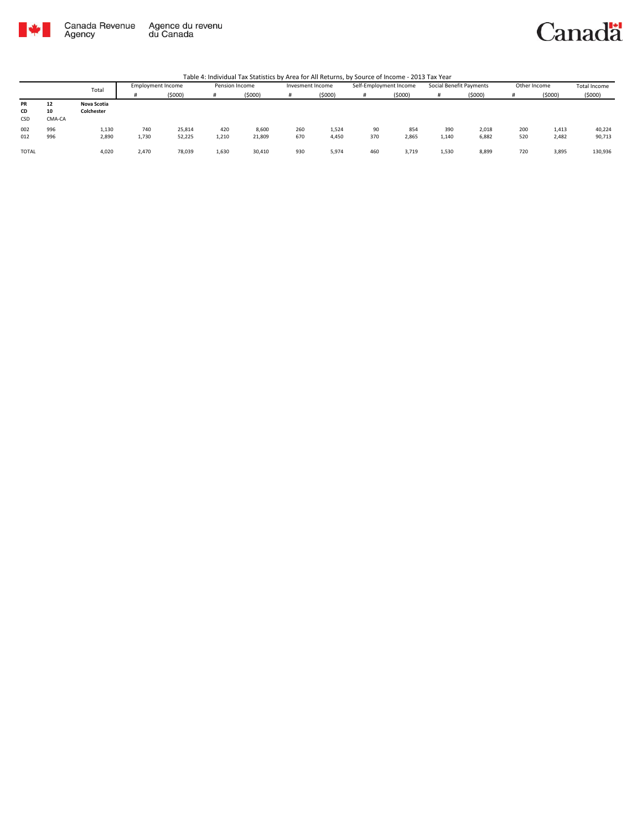

#### Canadä

|              |        |             |                          |        |                |         |                  | _____  |                        |        |                         |        |              |        |                     |
|--------------|--------|-------------|--------------------------|--------|----------------|---------|------------------|--------|------------------------|--------|-------------------------|--------|--------------|--------|---------------------|
|              |        | Total       | <b>Employment Income</b> |        | Pension Income |         | Invesment Income |        | Self-Employment Income |        | Social Benefit Payments |        | Other Income |        | <b>Total Income</b> |
|              |        |             |                          | (5000) |                | (\$000) |                  | (5000) | #                      | (5000) |                         | (5000) |              | (5000) | (5000)              |
| PR           | 12     | Nova Scotia |                          |        |                |         |                  |        |                        |        |                         |        |              |        |                     |
| CD           | 10     | Colchester  |                          |        |                |         |                  |        |                        |        |                         |        |              |        |                     |
| CSD          | CMA-CA |             |                          |        |                |         |                  |        |                        |        |                         |        |              |        |                     |
| 002          | 996    | 1,130       | 740                      | 25,814 | 420            | 8,600   | 260              | 1,524  | 90                     | 854    | 390                     | 2,018  | 200          | 1,413  | 40,224              |
| 012          | 996    | 2,890       | 1,730                    | 52,225 | 1,210          | 21,809  | 670              | 4,450  | 370                    | 2,865  | 1,140                   | 6,882  | 520          | 2,482  | 90,713              |
|              |        |             |                          |        |                |         |                  |        |                        |        |                         |        |              |        |                     |
| <b>TOTAL</b> |        | 4,020       | 2,470                    | 78,039 | 1,630          | 30,410  | 930              | 5,974  | 460                    | 3,719  | 1,530                   | 8,899  | 720          | 3,895  | 130,936             |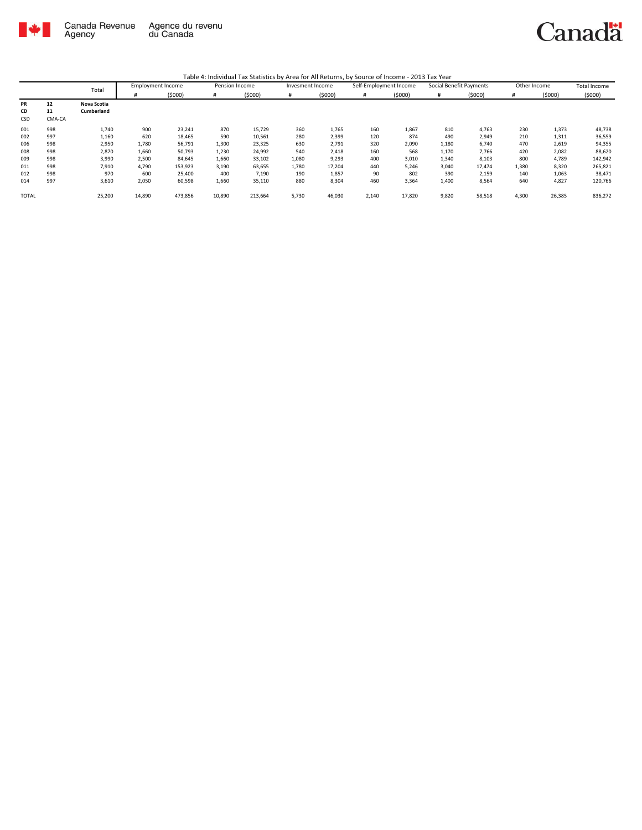

|              |        | Total       | <b>Employment Income</b> |         | Pension Income |         | Invesment Income |        | Self-Employment Income |        | Social Benefit Payments |        | Other Income |        | <b>Total Income</b> |
|--------------|--------|-------------|--------------------------|---------|----------------|---------|------------------|--------|------------------------|--------|-------------------------|--------|--------------|--------|---------------------|
|              |        |             | #                        | (5000)  | #              | (5000)  | #                | (5000) | #                      | (5000) | #                       | (5000) | #            | (5000) | (5000)              |
| PR           | 12     | Nova Scotia |                          |         |                |         |                  |        |                        |        |                         |        |              |        |                     |
| CD           | 11     | Cumberland  |                          |         |                |         |                  |        |                        |        |                         |        |              |        |                     |
| CSD          | CMA-CA |             |                          |         |                |         |                  |        |                        |        |                         |        |              |        |                     |
| 001          | 998    | 1,740       | 900                      | 23,241  | 870            | 15,729  | 360              | 1,765  | 160                    | 1,867  | 810                     | 4,763  | 230          | 1,373  | 48,738              |
| 002          | 997    | 1,160       | 620                      | 18,465  | 590            | 10,561  | 280              | 2,399  | 120                    | 874    | 490                     | 2,949  | 210          | 1,311  | 36,559              |
| 006          | 998    | 2,950       | 1,780                    | 56,791  | 1,300          | 23,325  | 630              | 2,791  | 320                    | 2,090  | 1,180                   | 6,740  | 470          | 2,619  | 94,355              |
| 008          | 998    | 2,870       | 1,660                    | 50,793  | 1,230          | 24,992  | 540              | 2,418  | 160                    | 568    | 1,170                   | 7,766  | 420          | 2,082  | 88,620              |
| 009          | 998    | 3,990       | 2,500                    | 84,645  | 1,660          | 33,102  | 1,080            | 9,293  | 400                    | 3,010  | 1,340                   | 8,103  | 800          | 4,789  | 142,942             |
| 011          | 998    | 7,910       | 4,790                    | 153,923 | 3,190          | 63,655  | 1,780            | 17.204 | 440                    | 5,246  | 3,040                   | 17,474 | 1,380        | 8,320  | 265,821             |
| 012          | 998    | 970         | 600                      | 25,400  | 400            | 7,190   | 190              | 1,857  | 90                     | 802    | 390                     | 2,159  | 140          | 1,063  | 38,471              |
| 014          | 997    | 3,610       | 2,050                    | 60,598  | 1,660          | 35,110  | 880              | 8,304  | 460                    | 3,364  | 1,400                   | 8,564  | 640          | 4,827  | 120,766             |
| <b>TOTAL</b> |        | 25,200      | 14,890                   | 473,856 | 10,890         | 213,664 | 5,730            | 46,030 | 2,140                  | 17,820 | 9,820                   | 58,518 | 4,300        | 26,385 | 836,272             |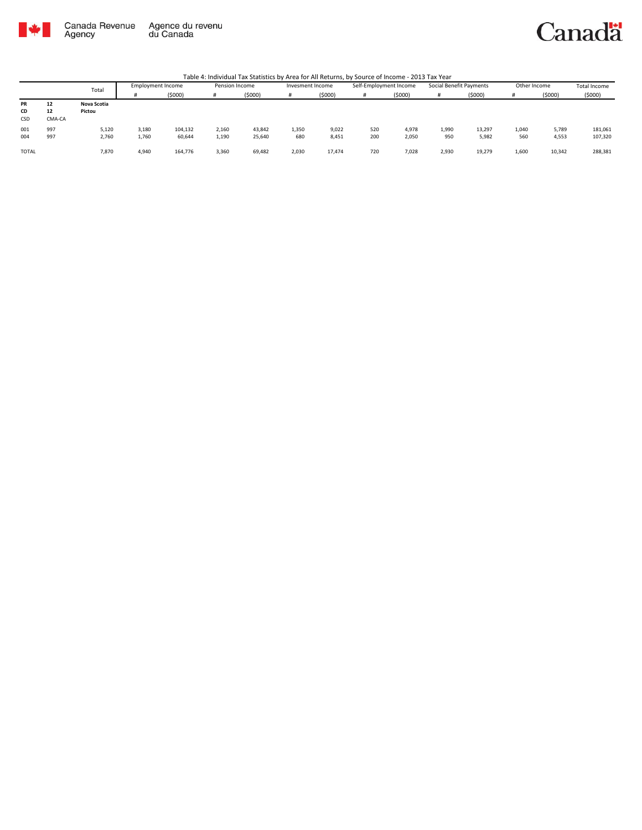

### Canadä

|              |        | Total       | <b>Employment Income</b> |         |       | Pension Income |       | Invesment Income |     | Self-Employment Income | Social Benefit Payments |        | Other Income |        | <b>Total Income</b> |
|--------------|--------|-------------|--------------------------|---------|-------|----------------|-------|------------------|-----|------------------------|-------------------------|--------|--------------|--------|---------------------|
|              |        |             |                          | (5000)  |       | (5000)         |       | (\$000)          |     | (5000)                 | #                       | (5000) |              | (5000) | (5000)              |
| PR           | 12     | Nova Scotia |                          |         |       |                |       |                  |     |                        |                         |        |              |        |                     |
| CD           | 12     | Pictou      |                          |         |       |                |       |                  |     |                        |                         |        |              |        |                     |
| CSD          | CMA-CA |             |                          |         |       |                |       |                  |     |                        |                         |        |              |        |                     |
| 001          | 997    | 5,120       | 3,180                    | 104,132 | 2,160 | 43,842         | 1.350 | 9,022            | 520 | 4,978                  | 1,990                   | 13,297 | 1,040        | 5,789  | 181,061             |
| 004          | 997    | 2,760       | 1,760                    | 60,644  | 1,190 | 25,640         | 680   | 8,451            | 200 | 2,050                  | 950                     | 5,982  | 560          | 4,553  | 107,320             |
| <b>TOTAL</b> |        | 7,870       | 4,940                    | 164,776 | 3,360 | 69,482         | 2,030 | 17,474           | 720 | 7,028                  | 2,930                   | 19,279 | 1,600        | 10,342 | 288,381             |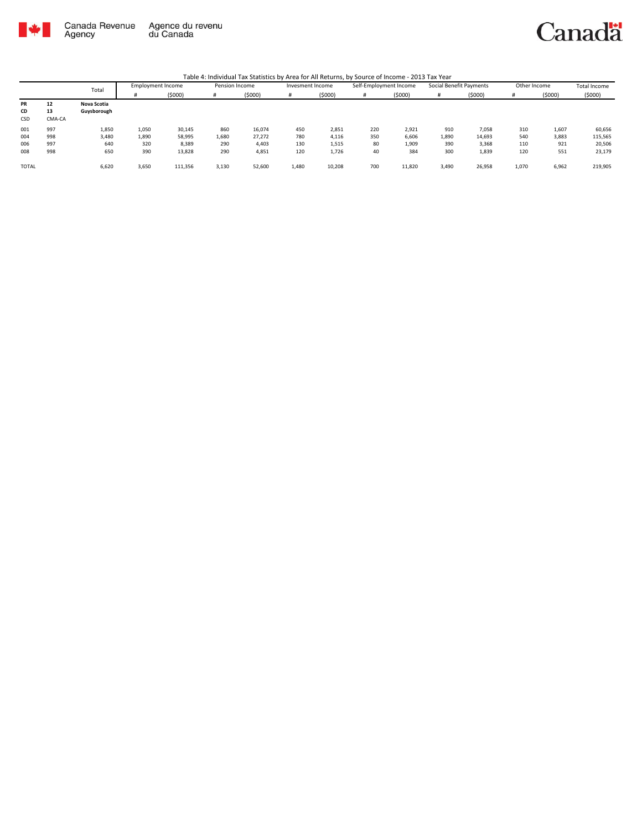

|              |        |             |                          |         |                |        |                  |        | --<br>------           |        |                         |        |              |        |              |
|--------------|--------|-------------|--------------------------|---------|----------------|--------|------------------|--------|------------------------|--------|-------------------------|--------|--------------|--------|--------------|
|              | Total  |             | <b>Employment Income</b> |         | Pension Income |        | Invesment Income |        | Self-Employment Income |        | Social Benefit Payments |        | Other Income |        | Total Income |
|              |        |             |                          | (5000)  | #              | (5000) |                  | (5000) | #                      | (5000) |                         | (5000) |              | (5000) | (5000)       |
| PR           | 12     | Nova Scotia |                          |         |                |        |                  |        |                        |        |                         |        |              |        |              |
| CD           | 13     | Guysborough |                          |         |                |        |                  |        |                        |        |                         |        |              |        |              |
| CSD          | CMA-CA |             |                          |         |                |        |                  |        |                        |        |                         |        |              |        |              |
| 001          | 997    | 1,850       | 1,050                    | 30,145  | 860            | 16,074 | 450              | 2,851  | 220                    | 2,921  | 910                     | 7,058  | 310          | 1,607  | 60,656       |
| 004          | 998    | 3,480       | 1,890                    | 58,995  | 1,680          | 27,272 | 780              | 4,116  | 350                    | 6,606  | 1,890                   | 14,693 | 540          | 3,883  | 115,565      |
| 006          | 997    | 640         | 320                      | 8,389   | 290            | 4,403  | 130              | 1,515  | 80                     | 1,909  | 390                     | 3,368  | 110          | 921    | 20,506       |
| 008          | 998    | 650         | 390                      | 13,828  | 290            | 4,851  | 120              | 1,726  | 40                     | 384    | 300                     | 1,839  | 120          | 551    | 23,179       |
| <b>TOTAL</b> |        | 6,620       | 3,650                    | 111,356 | 3,130          | 52,600 | 1,480            | 10,208 | 700                    | 11,820 | 3,490                   | 26,958 | 1,070        | 6,962  | 219,905      |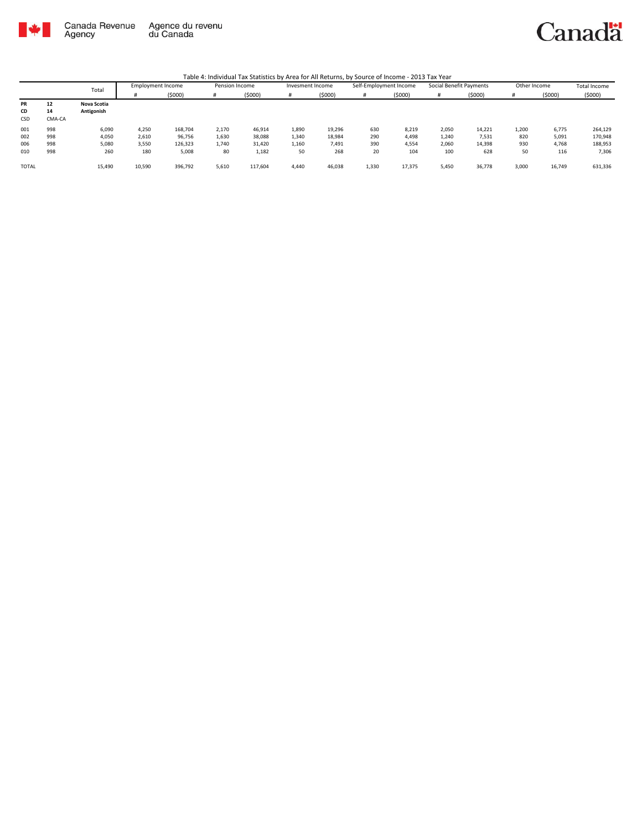

Canadä

|              |        | Total       | Employment Income |         | Pension Income |         |       | Self-Employment Income<br>Invesment Income |       | Social Benefit Payments |       | Other Income |       | <b>Total Income</b> |         |
|--------------|--------|-------------|-------------------|---------|----------------|---------|-------|--------------------------------------------|-------|-------------------------|-------|--------------|-------|---------------------|---------|
|              |        |             |                   | (5000)  | #              | (\$000) |       | (5000)                                     | #     | (5000)                  |       | (5000)       |       | (5000)              | (5000)  |
| <b>PR</b>    | 12     | Nova Scotia |                   |         |                |         |       |                                            |       |                         |       |              |       |                     |         |
| CD           | 14     | Antigonish  |                   |         |                |         |       |                                            |       |                         |       |              |       |                     |         |
| <b>CSD</b>   | CMA-CA |             |                   |         |                |         |       |                                            |       |                         |       |              |       |                     |         |
| 001          | 998    | 6,090       | 4,250             | 168,704 | 2,170          | 46,914  | 1,890 | 19,296                                     | 630   | 8,219                   | 2,050 | 14,221       | 1,200 | 6,775               | 264,129 |
| 002          | 998    | 4,050       | 2,610             | 96,756  | 1,630          | 38,088  | 1,340 | 18,984                                     | 290   | 4,498                   | 1,240 | 7,531        | 820   | 5,091               | 170,948 |
| 006          | 998    | 5,080       | 3,550             | 126,323 | 1,740          | 31,420  | 1,160 | 7,491                                      | 390   | 4,554                   | 2,060 | 14,398       | 930   | 4,768               | 188,953 |
| 010          | 998    | 260         | 180               | 5,008   | 80             | 1,182   | 50    | 268                                        | 20    | 104                     | 100   | 628          | 50    | 116                 | 7,306   |
| <b>TOTAL</b> |        | 15,490      | 10,590            | 396.792 | 5,610          | 117.604 | 4.440 | 46,038                                     | 1,330 | 17.375                  | 5,450 | 36.778       | 3.000 | 16.749              | 631,336 |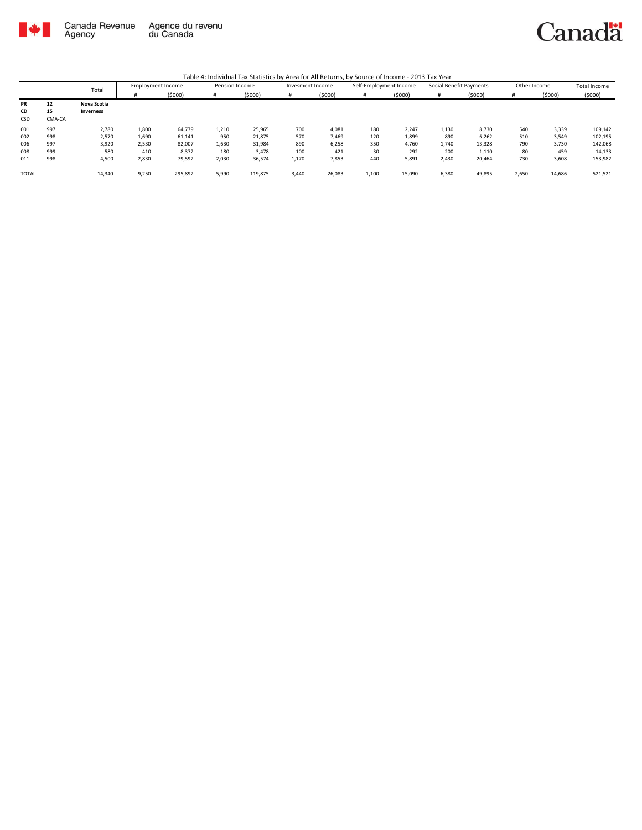

|       |        | Total            | <b>Employment Income</b> |         | Pension Income |         | Invesment Income |        | Self-Employment Income |        | Social Benefit Payments |        | Other Income |        | Total Income |
|-------|--------|------------------|--------------------------|---------|----------------|---------|------------------|--------|------------------------|--------|-------------------------|--------|--------------|--------|--------------|
|       |        |                  |                          | (5000)  | #              | (5000)  |                  | (5000) | #                      | (5000) |                         | (5000) |              | (5000) | (5000)       |
| PR    | 12     | Nova Scotia      |                          |         |                |         |                  |        |                        |        |                         |        |              |        |              |
| CD    | 15     | <b>Inverness</b> |                          |         |                |         |                  |        |                        |        |                         |        |              |        |              |
| CSD   | CMA-CA |                  |                          |         |                |         |                  |        |                        |        |                         |        |              |        |              |
| 001   | 997    | 2,780            | 1.800                    | 64.779  | 1,210          | 25,965  | 700              | 4,081  | 180                    | 2.247  | 1,130                   | 8,730  | 540          | 3,339  | 109,142      |
| 002   | 998    | 2,570            | 1,690                    | 61,141  | 950            | 21,875  | 570              | 7,469  | 120                    | 1,899  | 890                     | 6,262  | 510          | 3,549  | 102,195      |
| 006   | 997    | 3,920            | 2,530                    | 82,007  | 1,630          | 31,984  | 890              | 6,258  | 350                    | 4.760  | 1,740                   | 13,328 | 790          | 3,730  | 142,068      |
| 008   | 999    | 580              | 410                      | 8,372   | 180            | 3,478   | 100              | 421    | 30                     | 292    | 200                     | 1,110  | 80           | 459    | 14,133       |
| 011   | 998    | 4,500            | 2,830                    | 79,592  | 2,030          | 36,574  | 1,170            | 7,853  | 440                    | 5,891  | 2,430                   | 20,464 | 730          | 3,608  | 153,982      |
| TOTAL |        | 14,340           | 9,250                    | 295,892 | 5,990          | 119,875 | 3,440            | 26,083 | 1,100                  | 15,090 | 6,380                   | 49,895 | 2,650        | 14,686 | 521,521      |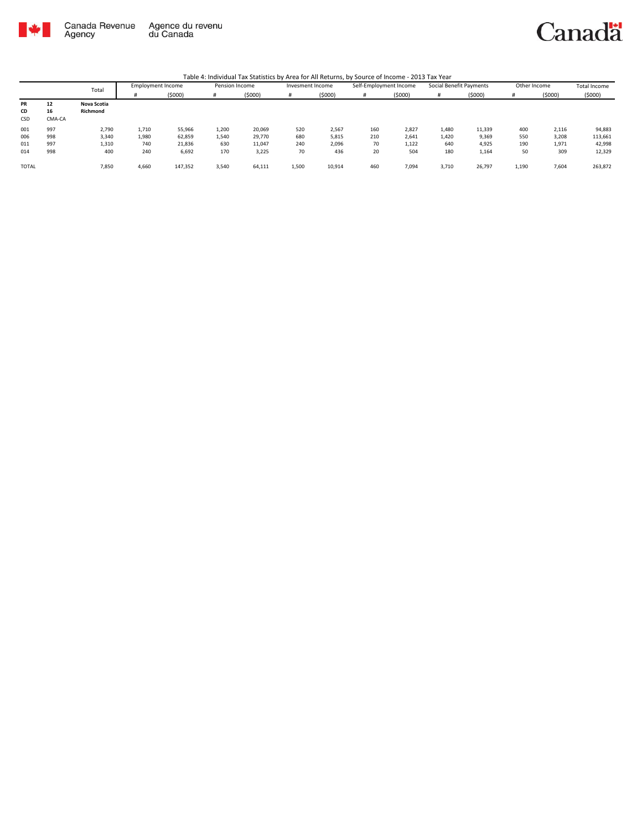



|              |        | Total       |       |         | <b>Employment Income</b> | Pension Income |       | Invesment Income |     | Self-Employment Income |       | Social Benefit Payments |       | Other Income |         | Total Income |
|--------------|--------|-------------|-------|---------|--------------------------|----------------|-------|------------------|-----|------------------------|-------|-------------------------|-------|--------------|---------|--------------|
|              |        |             |       | (\$000) |                          | (5000)         |       | (5000)           | #   | (5000)                 |       | (5000)                  |       | (5000)       | (5000)  |              |
| PR           | 12     | Nova Scotia |       |         |                          |                |       |                  |     |                        |       |                         |       |              |         |              |
| CD           | 16     | Richmond    |       |         |                          |                |       |                  |     |                        |       |                         |       |              |         |              |
| CSD          | CMA-CA |             |       |         |                          |                |       |                  |     |                        |       |                         |       |              |         |              |
| 001          | 997    | 2,790       | 1,710 | 55,966  | 1,200                    | 20,069         | 520   | 2,567            | 160 | 2,827                  | 1,480 | 11,339                  | 400   | 2,116        | 94,883  |              |
| 006          | 998    | 3,340       | 1,980 | 62,859  | 1,540                    | 29,770         | 680   | 5,815            | 210 | 2,641                  | 1,420 | 9,369                   | 550   | 3,208        | 113,661 |              |
| 011          | 997    | 1,310       | 740   | 21,836  | 630                      | 11,047         | 240   | 2,096            | 70  | 1,122                  | 640   | 4,925                   | 190   | 1,971        | 42,998  |              |
| 014          | 998    | 400         | 240   | 6,692   | 170                      | 3,225          | 70    | 436              | 20  | 504                    | 180   | 1,164                   | 50    | 309          | 12,329  |              |
| <b>TOTAL</b> |        | 7,850       | 4,660 | 147,352 | 3,540                    | 64,111         | 1,500 | 10,914           | 460 | 7.094                  | 3,710 | 26,797                  | 1,190 | 7,604        | 263,872 |              |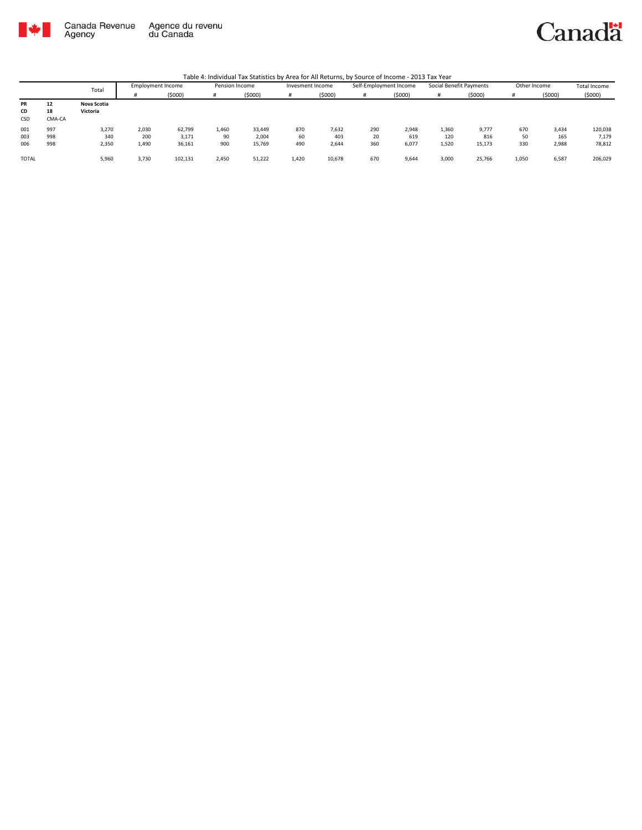

Canadä

|                 |                    | <b>Employment Income</b><br>Total |       | Pension Income |       | Social Benefit Payments<br>Self-Employment Income<br>Other Income<br>Invesment Income |       |        |     |        | <b>Total Income</b> |        |       |        |         |
|-----------------|--------------------|-----------------------------------|-------|----------------|-------|---------------------------------------------------------------------------------------|-------|--------|-----|--------|---------------------|--------|-------|--------|---------|
|                 |                    |                                   |       | (5000)         |       | (5000)                                                                                |       | (5000) | #   | (5000) |                     | (5000) |       | (5000) | (5000)  |
| PR<br>CD<br>CSD | 12<br>18<br>CMA-CA | Nova Scotia<br>Victoria           |       |                |       |                                                                                       |       |        |     |        |                     |        |       |        |         |
| 001             | 997                | 3,270                             | 2,030 | 62,799         | 1,460 | 33,449                                                                                | 870   | 7,632  | 290 | 2,948  | 1,360               | 9,777  | 670   | 3,434  | 120,038 |
| 003             | 998                | 340                               | 200   | 3,171          | 90    | 2,004                                                                                 | 60    | 403    | 20  | 619    | 120                 | 816    | 50    | 165    | 7,179   |
| 006             | 998                | 2,350                             | 1,490 | 36,161         | 900   | 15,769                                                                                | 490   | 2,644  | 360 | 6,077  | 1,520               | 15,173 | 330   | 2,988  | 78,812  |
| <b>TOTAL</b>    |                    | 5,960                             | 3,730 | 102,131        | 2,450 | 51,222                                                                                | 1,420 | 10,678 | 670 | 9,644  | 3,000               | 25,766 | 1,050 | 6,587  | 206,029 |